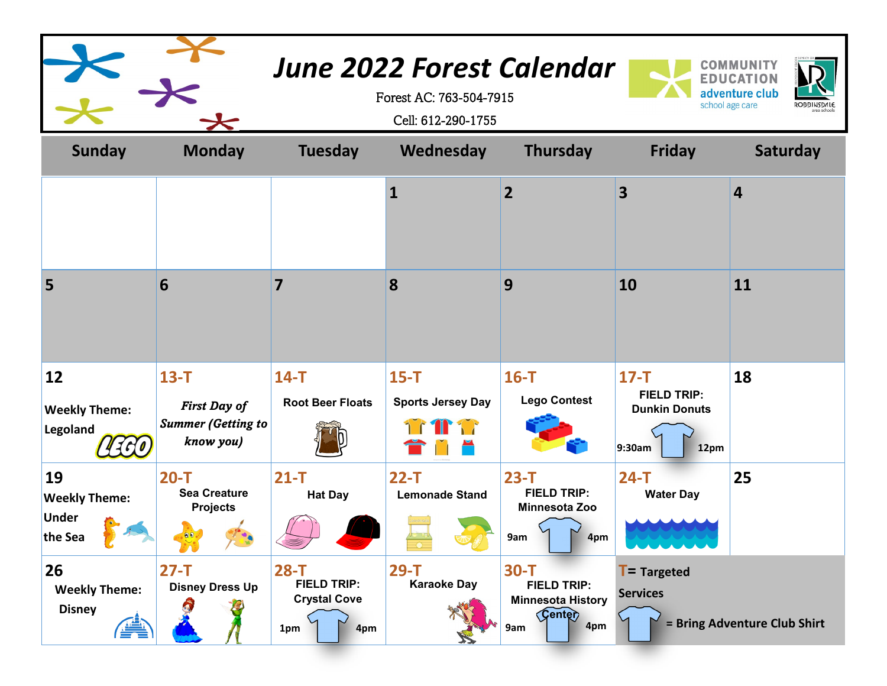|                                                       |                                                                           |                                                                   | <b>June 2022 Forest Calendar</b><br>Forest AC: 763-504-7915<br>Cell: 612-290-1755 |                                                                                  |                                                                        | <b>COMMUNITY</b><br><b>EDUCATION</b><br>adventure club<br>school age care<br><b>ROBBINSDALE</b> |
|-------------------------------------------------------|---------------------------------------------------------------------------|-------------------------------------------------------------------|-----------------------------------------------------------------------------------|----------------------------------------------------------------------------------|------------------------------------------------------------------------|-------------------------------------------------------------------------------------------------|
| <b>Sunday</b>                                         | <b>Monday</b>                                                             | <b>Tuesday</b>                                                    | Wednesday                                                                         | <b>Thursday</b>                                                                  | <b>Friday</b>                                                          | Saturday                                                                                        |
|                                                       |                                                                           |                                                                   | $\mathbf{1}$                                                                      | $\overline{2}$                                                                   | $\overline{\mathbf{3}}$                                                | $\overline{\mathbf{4}}$                                                                         |
| 5                                                     | 6                                                                         | 7                                                                 | 8                                                                                 | 9                                                                                | 10                                                                     | 11                                                                                              |
| 12<br><b>Weekly Theme:</b><br>Legoland<br>1.60        | $13 - T$<br><b>First Day of</b><br><b>Summer (Getting to</b><br>know you) | $14-T$<br><b>Root Beer Floats</b>                                 | $15-T$<br><b>Sports Jersey Day</b>                                                | $16-T$<br><b>Lego Contest</b>                                                    | $17-T$<br><b>FIELD TRIP:</b><br><b>Dunkin Donuts</b><br>9:30am<br>12pm | 18                                                                                              |
| 19<br><b>Weekly Theme:</b><br><b>Under</b><br>the Sea | $20-T$<br><b>Sea Creature</b><br><b>Projects</b>                          | $21 - T$<br><b>Hat Day</b>                                        | $22-T$<br><b>Lemonade Stand</b>                                                   | $23-T$<br><b>FIELD TRIP:</b><br>Minnesota Zoo<br>9am<br>4pm                      | $24-T$<br><b>Water Day</b>                                             | 25                                                                                              |
| 26<br><b>Weekly Theme:</b><br><b>Disney</b>           | $27-T$<br><b>Disney Dress Up</b><br>A                                     | $28-T$<br><b>FIELD TRIP:</b><br><b>Crystal Cove</b><br>4pm<br>1pm | $29-T$<br><b>Karaoke Day</b>                                                      | $30-T$<br><b>FIELD TRIP:</b><br><b>Minnesota History</b><br>Genter<br>4pm<br>9am | $T =$ Targeted<br><b>Services</b>                                      | = Bring Adventure Club Shirt                                                                    |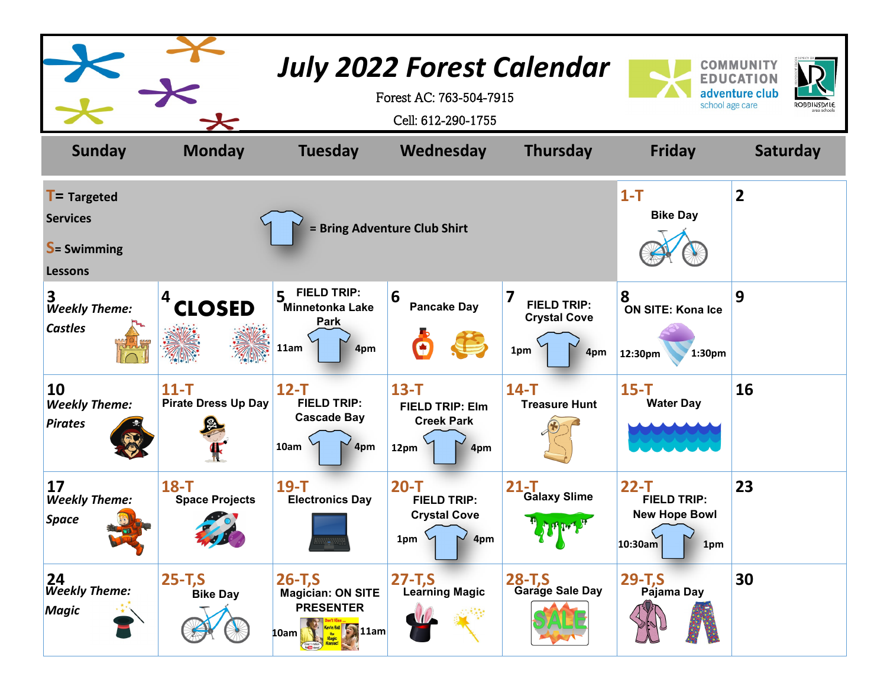|                                                                            |                                                        |                                                                                                                                                                     | <b>July 2022 Forest Calendar</b><br>Forest AC: 763-504-7915<br>Cell: 612-290-1755 |                                                                                                                                                     | school age care                                                        | COMMUNITY<br><b>EDUCATION</b><br>adventure club<br><b>ROBBINSDALE</b> |
|----------------------------------------------------------------------------|--------------------------------------------------------|---------------------------------------------------------------------------------------------------------------------------------------------------------------------|-----------------------------------------------------------------------------------|-----------------------------------------------------------------------------------------------------------------------------------------------------|------------------------------------------------------------------------|-----------------------------------------------------------------------|
| <b>Sunday</b>                                                              | <b>Monday</b>                                          | <b>Tuesday</b>                                                                                                                                                      | Wednesday                                                                         | <b>Thursday</b>                                                                                                                                     | <b>Friday</b>                                                          | <b>Saturday</b>                                                       |
| $T =$ Targeted<br><b>Services</b><br><b>S</b> = Swimming<br><b>Lessons</b> |                                                        |                                                                                                                                                                     | = Bring Adventure Club Shirt                                                      |                                                                                                                                                     | $1 - T$<br><b>Bike Day</b>                                             | $\overline{2}$                                                        |
| 3.<br><b>Weekly Theme:</b><br><b>Castles</b>                               | <b>CLOSED</b>                                          | <b>FIELD TRIP:</b><br>5<br>Minnetonka Lake<br>Park<br>11am<br>4pm                                                                                                   | 6<br><b>Pancake Day</b>                                                           | 7<br><b>FIELD TRIP:</b><br><b>Crystal Cove</b><br>1pm<br>4pm                                                                                        | 8<br><b>ON SITE: Kona Ice</b><br>12:30pm<br>1:30pm                     | 9                                                                     |
| 10<br><b>Weekly Theme:</b><br><b>Pirates</b>                               | $11 - T$<br><b>Pirate Dress Up Day</b>                 | $12-T$<br><b>FIELD TRIP:</b><br><b>Cascade Bay</b><br>10am<br>4pm                                                                                                   | $13 - T$<br><b>FIELD TRIP: Elm</b><br><b>Creek Park</b><br>12pm<br>4pm            | $14-T$<br><b>Treasure Hunt</b>                                                                                                                      | $15-T$<br><b>Water Day</b>                                             | 16                                                                    |
| 17<br><b>Weekly Theme:</b><br><b>Space</b>                                 | $18-T$<br><b>Space Projects</b><br><b>END AND REAL</b> | $19-T$<br><b>Electronics Day</b>                                                                                                                                    | $20-T$<br><b>FIELD TRIP:</b><br><b>Crystal Cove</b><br>4pm<br>1pm                 | $21 - T$<br><b>Galaxy Slime</b><br>$\mathbb{P} \leftarrow \{ \mathbb{P} \left[ \mathbb{P} \left( \mathbb{P}^1 \right) \right] \}^T$<br>$\mathbf{v}$ | $22-T$<br><b>FIELD TRIP:</b><br><b>New Hope Bowl</b><br>10:30am<br>1pm | 23                                                                    |
| 24<br><b>Weekly Theme:</b><br>Magic                                        | $25 - T, S$<br><b>Bike Day</b>                         | $26 - T, S$<br><b>Magician: ON SITE</b><br><b>PRESENTER</b><br>$\frac{r_{\text{ev}}(n)}{r_{\text{H}}(n)}$ ( $\frac{r_{\text{ev}}(n)}{r_{\text{H}}(n)}$ 11am<br>10am | $27 - T, S$<br><b>Learning Magic</b>                                              | $28 - T.S$<br><b>Garage Sale Day</b>                                                                                                                | $29 - T, S$<br>Pajama Day                                              | 30                                                                    |